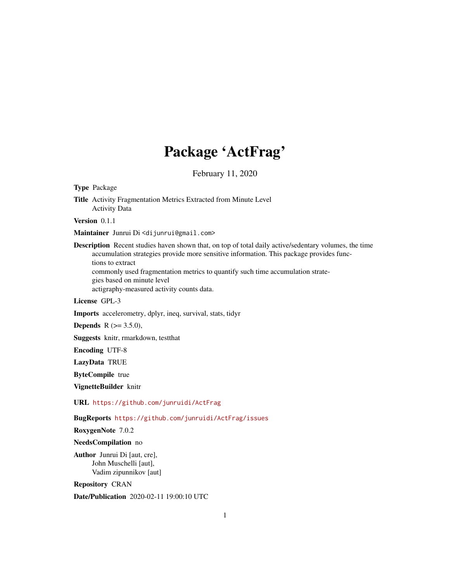# Package 'ActFrag'

February 11, 2020

Type Package

Title Activity Fragmentation Metrics Extracted from Minute Level Activity Data

Version 0.1.1

Maintainer Junrui Di <dijunrui@gmail.com>

Description Recent studies haven shown that, on top of total daily active/sedentary volumes, the time accumulation strategies provide more sensitive information. This package provides functions to extract commonly used fragmentation metrics to quantify such time accumulation strate-

gies based on minute level

actigraphy-measured activity counts data.

License GPL-3

Imports accelerometry, dplyr, ineq, survival, stats, tidyr

**Depends** R  $(>= 3.5.0)$ ,

Suggests knitr, rmarkdown, testthat

Encoding UTF-8

LazyData TRUE

ByteCompile true

VignetteBuilder knitr

URL <https://github.com/junruidi/ActFrag>

BugReports <https://github.com/junruidi/ActFrag/issues>

RoxygenNote 7.0.2

NeedsCompilation no

Author Junrui Di [aut, cre], John Muschelli [aut], Vadim zipunnikov [aut]

Repository CRAN

Date/Publication 2020-02-11 19:00:10 UTC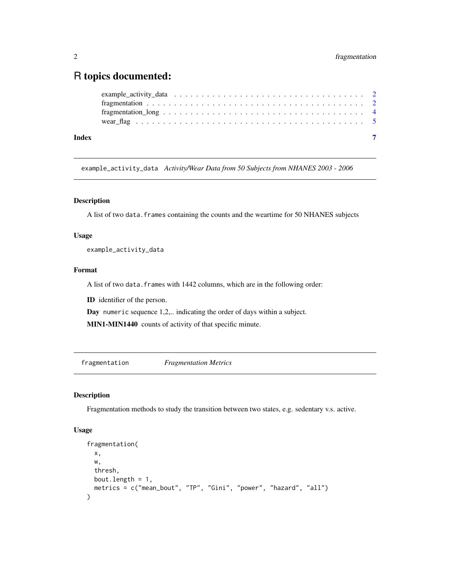# <span id="page-1-0"></span>R topics documented:

| Index |  |
|-------|--|

example\_activity\_data *Activity/Wear Data from 50 Subjects from NHANES 2003 - 2006*

#### Description

A list of two data.frames containing the counts and the weartime for 50 NHANES subjects

# Usage

example\_activity\_data

# Format

A list of two data.frames with 1442 columns, which are in the following order:

ID identifier of the person.

Day numeric sequence 1,2,.. indicating the order of days within a subject.

MIN1-MIN1440 counts of activity of that specific minute.

fragmentation *Fragmentation Metrics*

# Description

Fragmentation methods to study the transition between two states, e.g. sedentary v.s. active.

#### Usage

```
fragmentation(
  x,
 w,
 thresh,
 bout.length = 1,
 metrics = c("mean_bout", "TP", "Gini", "power", "hazard", "all")
)
```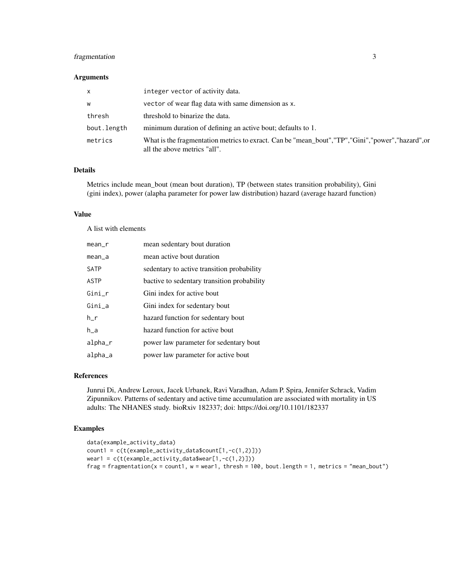# fragmentation 3

#### Arguments

| $\mathsf{x}$ | integer vector of activity data.                                                                                                     |
|--------------|--------------------------------------------------------------------------------------------------------------------------------------|
| W            | vector of wear flag data with same dimension as x.                                                                                   |
| thresh       | threshold to binarize the data.                                                                                                      |
| bout.length  | minimum duration of defining an active bout; defaults to 1.                                                                          |
| metrics      | What is the fragmentation metrics to exract. Can be "mean_bout", "TP", "Gini", "power", "hazard", or<br>all the above metrics "all". |

# Details

Metrics include mean\_bout (mean bout duration), TP (between states transition probability), Gini (gini index), power (alapha parameter for power law distribution) hazard (average hazard function)

# Value

A list with elements

| $mean_r$    | mean sedentary bout duration                |
|-------------|---------------------------------------------|
| mean_a      | mean active bout duration                   |
| <b>SATP</b> | sedentary to active transition probability  |
| <b>ASTP</b> | bactive to sedentary transition probability |
| Gini_r      | Gini index for active bout                  |
| Gini a      | Gini index for sedentary bout               |
| h_r         | hazard function for sedentary bout          |
| h a         | hazard function for active bout             |
| alpha_r     | power law parameter for sedentary bout      |
| alpha_a     | power law parameter for active bout         |

#### References

Junrui Di, Andrew Leroux, Jacek Urbanek, Ravi Varadhan, Adam P. Spira, Jennifer Schrack, Vadim Zipunnikov. Patterns of sedentary and active time accumulation are associated with mortality in US adults: The NHANES study. bioRxiv 182337; doi: https://doi.org/10.1101/182337

# Examples

```
data(example_activity_data)
count1 = c(t(example_activity_data$count[1,-c(1,2)]))
wear1 = c(t(example_activity_data$wear[1,-c(1,2)]))frag = fragmentation(x = count1, w = wear1, thresh = 100, bout.length = 1, metrics = 'mean_bout')
```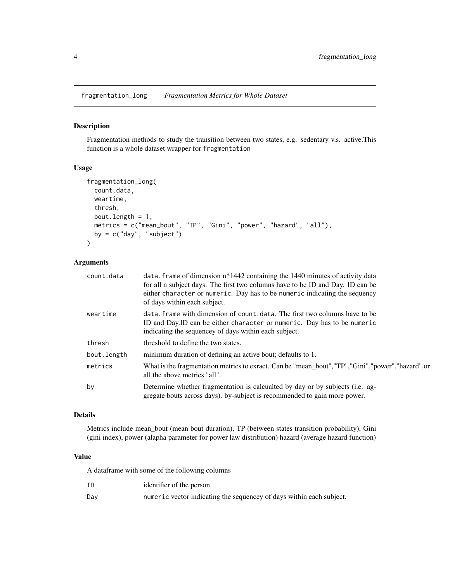<span id="page-3-0"></span>fragmentation\_long *Fragmentation Metrics for Whole Dataset*

#### Description

Fragmentation methods to study the transition between two states, e.g. sedentary v.s. active.This function is a whole dataset wrapper for fragmentation

#### Usage

```
fragmentation_long(
  count.data,
 weartime,
  thresh,
 bout.length = 1,
 metrics = c("mean_bout", "TP", "Gini", "power", "hazard", "all"),
 by = c("day", "subject")
)
```
# Arguments

| count.data  | data. Frame of dimension $n*1442$ containing the 1440 minutes of activity data<br>for all n subject days. The first two columns have to be ID and Day. ID can be<br>either character or numeric. Day has to be numeric indicating the sequency<br>of days within each subject. |
|-------------|--------------------------------------------------------------------------------------------------------------------------------------------------------------------------------------------------------------------------------------------------------------------------------|
| weartime    | data. frame with dimension of count, data. The first two columns have to be<br>ID and Day. ID can be either character or numeric. Day has to be numeric<br>indicating the sequencey of days within each subject.                                                               |
| thresh      | threshold to define the two states.                                                                                                                                                                                                                                            |
| bout.length | minimum duration of defining an active bout; defaults to 1.                                                                                                                                                                                                                    |
| metrics     | What is the fragmentation metrics to exract. Can be "mean_bout","TP","Gini","power","hazard",or<br>all the above metrics "all".                                                                                                                                                |
| by          | Determine whether fragmentation is calcualted by day or by subjects (i.e. ag-<br>gregate bouts across days). by-subject is recommended to gain more power.                                                                                                                     |
|             |                                                                                                                                                                                                                                                                                |

#### Details

Metrics include mean\_bout (mean bout duration), TP (between states transition probability), Gini (gini index), power (alapha parameter for power law distribution) hazard (average hazard function)

#### Value

A dataframe with some of the following columns

| ΙD  | identifier of the person                                             |
|-----|----------------------------------------------------------------------|
| Dav | numeric vector indicating the sequencey of days within each subject. |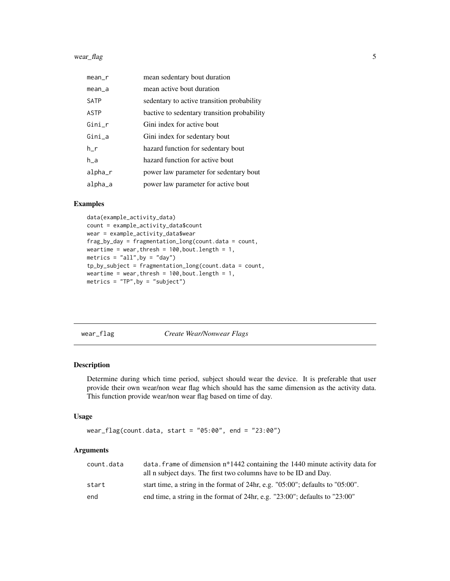#### <span id="page-4-0"></span>wear\_flag 5

| $mean_r$    | mean sedentary bout duration                |
|-------------|---------------------------------------------|
| $mean_a$    | mean active bout duration                   |
| <b>SATP</b> | sedentary to active transition probability  |
| ASTP        | bactive to sedentary transition probability |
| $Gini_r$    | Gini index for active bout                  |
| Gini_a      | Gini index for sedentary bout               |
| h r         | hazard function for sedentary bout          |
| h a         | hazard function for active bout             |
| alpha       | power law parameter for sedentary bout      |
| alpha_a     | power law parameter for active bout         |

#### Examples

```
data(example_activity_data)
count = example_activity_data$count
wear = example_activity_data$wear
frag_by_day = fragmentation_long(count.data = count,
weartime = wear, thresh = 100, bout. length = 1,
metrics = "all", by = "day")tp_by_subject = fragmentation_long(count.data = count,
weartime = wear, thresh = 100, bout. length = 1,
metrics = "TP",by = "subject")
```
wear\_flag *Create Wear/Nonwear Flags*

#### Description

Determine during which time period, subject should wear the device. It is preferable that user provide their own wear/non wear flag which should has the same dimension as the activity data. This function provide wear/non wear flag based on time of day.

#### Usage

```
wear_flag(count.data, start = "05:00", end = "23:00")
```
#### Arguments

| count.data | data. frame of dimension $n*1442$ containing the 1440 minute activity data for<br>all n subject days. The first two columns have to be ID and Day. |
|------------|----------------------------------------------------------------------------------------------------------------------------------------------------|
| start      | start time, a string in the format of 24hr, e.g. $"05:00"$ ; defaults to $"05:00"$ .                                                               |
| end        | end time, a string in the format of 24hr, e.g. " $23:00$ "; defaults to " $23:00$ "                                                                |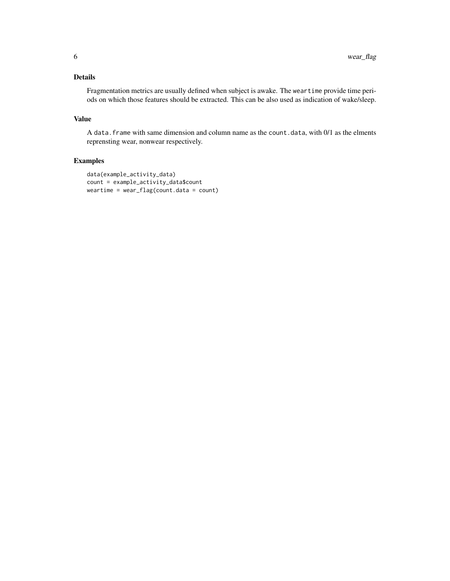# Details

Fragmentation metrics are usually defined when subject is awake. The weartime provide time periods on which those features should be extracted. This can be also used as indication of wake/sleep.

# Value

A data.frame with same dimension and column name as the count.data, with 0/1 as the elments reprensting wear, nonwear respectively.

# Examples

```
data(example_activity_data)
count = example_activity_data$count
weartime = wear_flag(count.data = count)
```